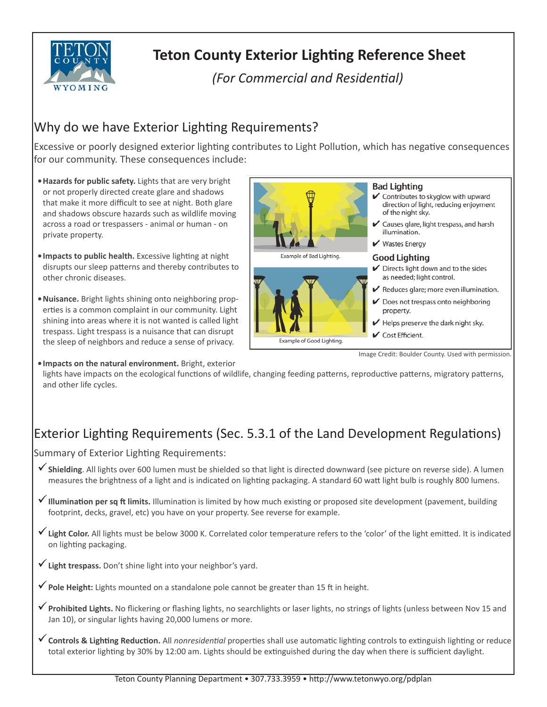

# **Teton County Exterior Lighting Reference Sheet**

*(For Commercial and Residential)* 

### Why do we have Exterior Lighting Requirements?

Excessive or poorly designed exterior lighting contributes to Light Pollution, which has negative consequences for our community. These consequences include:

- **Hazards for public safety.** Lights that are very bright or not properly directed create glare and shadows that make it more difficult to see at night. Both glare and shadows obscure hazards such as wildlife moving across a road or trespassers - animal or human - on private property.
- **Impacts to public health.** Excessive lighting at night disrupts our sleep patterns and thereby contributes to other chronic diseases.
- **Nuisance.** Bright lights shining onto neighboring properties is a common complaint in our community. Light shining into areas where it is not wanted is called light trespass. Light trespass is a nuisance that can disrupt the sleep of neighbors and reduce a sense of privacy.
- **Bad Lighting** ✔ Contributes to skyglow with upward direction of light, reducing enjoyment of the night sky.  $\checkmark$  Causes glare, light trespass, and harsh illumination.  $\mathbf{\mathsf{V}}$  Wastes Energy Example of Bad Lighting. **Good Lighting**  $\blacktriangleright$  Directs light down and to the sides as needed; light control. Reduces glare; more even illumination.  $\triangleright$  Does not trespass onto neighboring property.  $\blacktriangleright$  Helps preserve the dark night sky. ✔ Cost Efficient. Example of Good Lighting.

**• Impacts on the natural environment.** Bright, exterior lights have impacts on the ecological functions of wildlife, changing feeding patterns, reproductive patterns, migratory patterns, and other life cycles.

# Exterior Lighting Requirements (Sec. 5.3.1 of the Land Development Regulations)

Summary of Exterior Lighting Requirements:

- **√ Shielding**. All lights over 600 lumen must be shielded so that light is directed downward (see picture on reverse side). A lumen measures the brightness of a light and is indicated on lighting packaging. A standard 60 watt light bulb is roughly 800 lumens.
- ◆ Illumination per sq ft limits. Illumination is limited by how much existing or proposed site development (pavement, building footprint, decks, gravel, etc) you have on your property. See reverse for example.
- √ Light Color. All lights must be below 3000 K. Correlated color temperature refers to the 'color' of the light emitted. It is indicated on lighting packaging.
- **Light trespass.** Don't shine light into your neighbor's yard.
- ◆ Pole Height: Lights mounted on a standalone pole cannot be greater than 15 ft in height.
- ◆ Prohibited Lights. No flickering or flashing lights, no searchlights or laser lights, no strings of lights (unless between Nov 15 and Jan 10), or singular lights having 20,000 lumens or more.
- **✓** Controls & Lighting Reduction. All *nonresidential* properties shall use automatic lighting controls to extinguish lighting or reduce total exterior lighting by 30% by 12:00 am. Lights should be extinguished during the day when there is sufficient daylight.

Image Credit: Boulder County. Used with permission.